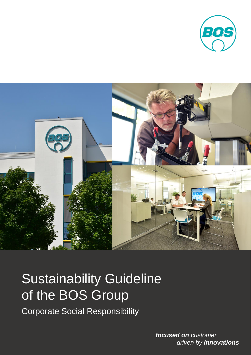



# Sustainability Guideline of the BOS Group

Corporate Social Responsibility

*focused on customer - driven by innovations*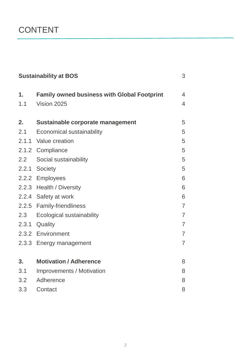### CONTENT

| <b>Sustainability at BOS</b> |                                                    | 3              |
|------------------------------|----------------------------------------------------|----------------|
| 1.                           | <b>Family owned business with Global Footprint</b> | 4              |
| 1.1                          | Vision 2025                                        | 4              |
| 2.                           | Sustainable corporate management                   | 5              |
| 2.1                          | <b>Economical sustainability</b>                   | 5              |
|                              | 2.1.1 Value creation                               | 5              |
|                              | 2.1.2 Compliance                                   | 5              |
| 2.2                          | Social sustainability                              | 5              |
| 2.2.1                        | <b>Society</b>                                     | 5              |
|                              | 2.2.2 Employees                                    | 6              |
|                              | 2.2.3 Health / Diversity                           | 6              |
|                              | 2.2.4 Safety at work                               | 6              |
|                              | 2.2.5 Family-friendliness                          | $\overline{7}$ |
| 2.3                          | Ecological sustainability                          | $\overline{7}$ |
| 2.3.1                        | Quality                                            | $\overline{7}$ |
|                              | 2.3.2 Environment                                  | $\overline{7}$ |
|                              | 2.3.3 Energy management                            | $\overline{7}$ |
| 3.                           | <b>Motivation / Adherence</b>                      | 8              |
| 3.1                          | <b>Improvements / Motivation</b>                   | 8              |
| 3.2                          | Adherence                                          | 8              |
| 3.3                          | Contact                                            | 8              |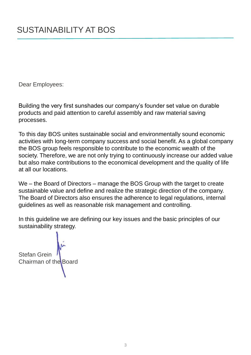Dear Employees:

Building the very first sunshades our company's founder set value on durable products and paid attention to careful assembly and raw material saving processes.

To this day BOS unites sustainable social and environmentally sound economic activities with long-term company success and social benefit. As a global company the BOS group feels responsible to contribute to the economic wealth of the society. Therefore, we are not only trying to continuously increase our added value but also make contributions to the economical development and the quality of life at all our locations.

We – the Board of Directors – manage the BOS Group with the target to create sustainable value and define and realize the strategic direction of the company. The Board of Directors also ensures the adherence to legal regulations, internal guidelines as well as reasonable risk management and controlling.

In this guideline we are defining our key issues and the basic principles of our sustainability strategy.

Stefan Grein Chairman of the Board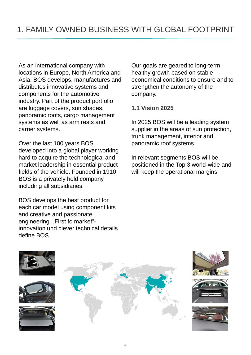As an international company with locations in Europe, North America and Asia, BOS develops, manufactures and distributes innovative systems and components for the automotive industry. Part of the product portfolio are luggage covers, sun shades, panoramic roofs, cargo management systems as well as arm rests and carrier systems.

Over the last 100 years BOS developed into a global player working hard to acquire the technological and market leadership in essential product fields of the vehicle. Founded in 1910, BOS is a privately held company including all subsidiaries.

BOS develops the best product for each car model using component kits and creative and passionate engineering. "First to market"innovation und clever technical details define BOS.

Our goals are geared to long-term healthy growth based on stable economical conditions to ensure and to strengthen the autonomy of the company.

#### **1.1 Vision 2025**

In 2025 BOS will be a leading system supplier in the areas of sun protection, trunk management, interior and panoramic roof systems.

In relevant segments BOS will be positioned in the Top 3 world-wide and will keep the operational margins.

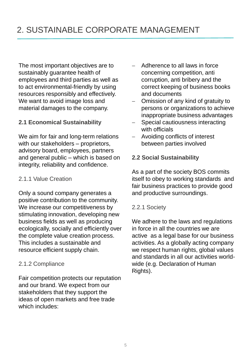The most important objectives are to sustainably guarantee health of employees and third parties as well as to act environmental-friendly by using resources responsibly and effectively. We want to avoid image loss and material damages to the company.

#### **2.1 Economical Sustainability**

We aim for fair and long-term relations with our stakeholders – proprietors, advisory board, employees, partners and general public – which is based on integrity, reliability and confidence.

#### 2.1.1 Value Creation

Only a sound company generates a positive contribution to the community. We increase our competitiveness by stimulating innovation, developing new business fields as well as producing ecologically, socially and efficiently over the complete value creation process. This includes a sustainable and resource efficient supply chain.

#### 2.1.2 Compliance

Fair competition protects our reputation and our brand. We expect from our stakeholders that they support the ideas of open markets and free trade which includes:

- Adherence to all laws in force concerning competition, anti corruption, anti bribery and the correct keeping of business books and documents
- Omission of any kind of gratuity to persons or organizations to achieve inappropriate business advantages
- Special cautiousness interacting with officials
- Avoiding conflicts of interest between parties involved

#### **2.2 Social Sustainability**

As a part of the society BOS commits itself to obey to working standards and fair business practices to provide good and productive surroundings.

#### 2.2.1 Society

We adhere to the laws and regulations in force in all the countries we are active as a legal base for our business activities. As a globally acting company we respect human rights, global values and standards in all our activities worldwide (e.g. Declaration of Human Rights).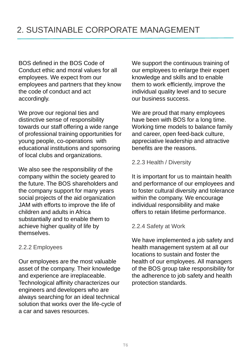BOS defined in the BOS Code of Conduct ethic and moral values for all employees. We expect from our employees and partners that they know the code of conduct and act accordingly.

We prove our regional ties and distinctive sense of responsibility towards our staff offering a wide range of professional training opportunities for young people, co-operations with educational institutions and sponsoring of local clubs and organizations.

We also see the responsibility of the company within the society geared to the future. The BOS shareholders and the company support for many years social projects of the aid organization JAM with efforts to improve the life of children and adults in Africa substantially and to enable them to achieve higher quality of life by themselves.

#### 2.2.2 Employees

Our employees are the most valuable asset of the company. Their knowledge and experience are irreplaceable. Technological affinity characterizes our engineers and developers who are always searching for an ideal technical solution that works over the life-cycle of a car and saves resources.

We support the continuous training of our employees to enlarge their expert knowledge and skills and to enable them to work efficiently, improve the individual quality level and to secure our business success.

We are proud that many employees have been with BOS for a long time. Working time models to balance family and career, open feed-back culture, appreciative leadership and attractive benefits are the reasons.

#### 2.2.3 Health / Diversity

It is important for us to maintain health and performance of our employees and to foster cultural diversity and tolerance within the company. We encourage individual responsibility and make offers to retain lifetime performance.

#### 2.2.4 Safety at Work

We have implemented a job safety and health management system at all our locations to sustain and foster the health of our employees. All managers of the BOS group take responsibility for the adherence to job safety and health protection standards.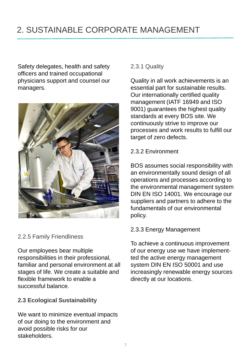## 2. SUSTAINABLE CORPORATE MANAGEMENT

Safety delegates, health and safety officers and trained occupational physicians support and counsel our managers.



2.2.5 Family Friendliness

Our employees bear multiple responsibilities in their professional, familiar and personal environment at all stages of life. We create a suitable and flexible framework to enable a successful balance.

#### **2.3 Ecological Sustainability**

We want to minimize eventual impacts of our doing to the environment and avoid possible risks for our stakeholders.

#### 2.3.1 Quality

Quality in all work achievements is an essential part for sustainable results. Our internationally certified quality management (IATF 16949 and ISO 9001) guarantees the highest quality standards at every BOS site. We continuously strive to improve our processes and work results to fulfill our target of zero defects.

#### 2.3.2 Environment

BOS assumes social responsibility with an environmentally sound design of all operations and processes according to the environmental management system DIN EN ISO 14001. We encourage our suppliers and partners to adhere to the fundamentals of our environmental policy.

#### 2.3.3 Energy Management

To achieve a continuous improvement of our energy use we have implementted the active energy management system DIN EN ISO 50001 and use increasingly renewable energy sources directly at our locations.